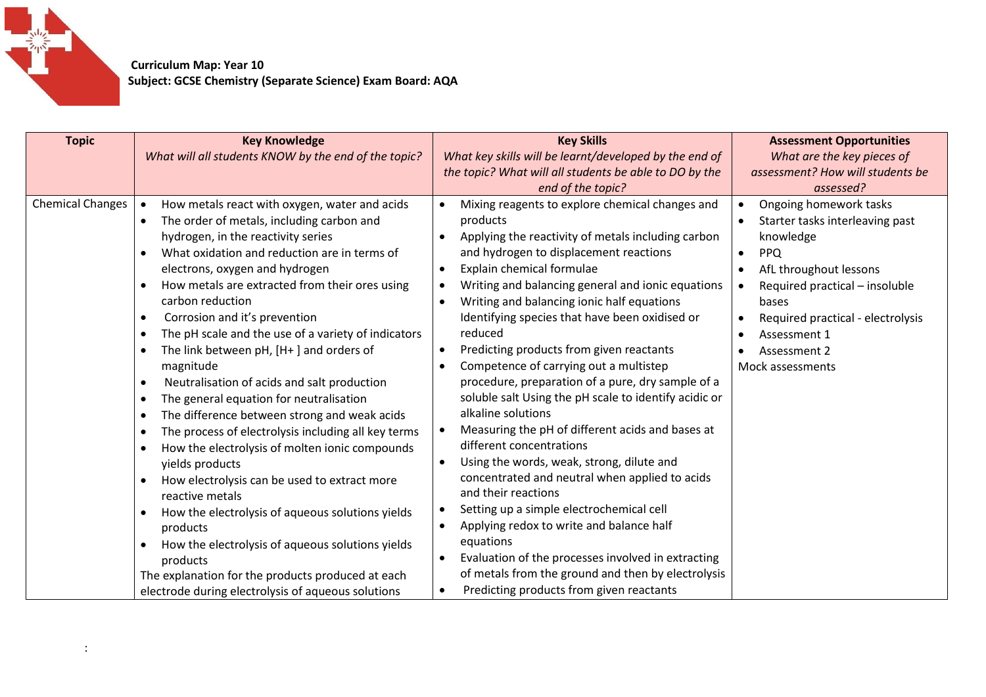

 **Curriculum Map: Year 10 Subject: GCSE Chemistry (Separate Science) Exam Board: AQA**

| <b>Topic</b>            | <b>Key Knowledge</b><br>What will all students KNOW by the end of the topic?                                                                                                                                                                                                                                                                                                                                                                                                                                                                                                                                                                                                                                                                                                                                                                                                                                                                                                                                                                                                                                                                                                                                            | <b>Key Skills</b><br>What key skills will be learnt/developed by the end of<br>the topic? What will all students be able to DO by the<br>end of the topic?                                                                                                                                                                                                                                                                                                                                                                                                                                                                                                                                                                                                                                                                                                                                                                                                                                                                                                                                                                          | <b>Assessment Opportunities</b><br>What are the key pieces of<br>assessment? How will students be<br>assessed?                                                                                                                                                  |
|-------------------------|-------------------------------------------------------------------------------------------------------------------------------------------------------------------------------------------------------------------------------------------------------------------------------------------------------------------------------------------------------------------------------------------------------------------------------------------------------------------------------------------------------------------------------------------------------------------------------------------------------------------------------------------------------------------------------------------------------------------------------------------------------------------------------------------------------------------------------------------------------------------------------------------------------------------------------------------------------------------------------------------------------------------------------------------------------------------------------------------------------------------------------------------------------------------------------------------------------------------------|-------------------------------------------------------------------------------------------------------------------------------------------------------------------------------------------------------------------------------------------------------------------------------------------------------------------------------------------------------------------------------------------------------------------------------------------------------------------------------------------------------------------------------------------------------------------------------------------------------------------------------------------------------------------------------------------------------------------------------------------------------------------------------------------------------------------------------------------------------------------------------------------------------------------------------------------------------------------------------------------------------------------------------------------------------------------------------------------------------------------------------------|-----------------------------------------------------------------------------------------------------------------------------------------------------------------------------------------------------------------------------------------------------------------|
| <b>Chemical Changes</b> | How metals react with oxygen, water and acids<br>$\bullet$<br>The order of metals, including carbon and<br>$\bullet$<br>hydrogen, in the reactivity series<br>What oxidation and reduction are in terms of<br>$\bullet$<br>electrons, oxygen and hydrogen<br>How metals are extracted from their ores using<br>$\bullet$<br>carbon reduction<br>Corrosion and it's prevention<br>$\bullet$<br>The pH scale and the use of a variety of indicators<br>$\bullet$<br>The link between $pH$ , $[H+]$ and orders of<br>$\bullet$<br>magnitude<br>Neutralisation of acids and salt production<br>$\bullet$<br>The general equation for neutralisation<br>$\bullet$<br>The difference between strong and weak acids<br>$\bullet$<br>The process of electrolysis including all key terms<br>$\bullet$<br>How the electrolysis of molten ionic compounds<br>$\bullet$<br>yields products<br>How electrolysis can be used to extract more<br>$\bullet$<br>reactive metals<br>How the electrolysis of aqueous solutions yields<br>$\bullet$<br>products<br>How the electrolysis of aqueous solutions yields<br>products<br>The explanation for the products produced at each<br>electrode during electrolysis of aqueous solutions | Mixing reagents to explore chemical changes and<br>products<br>Applying the reactivity of metals including carbon<br>and hydrogen to displacement reactions<br>Explain chemical formulae<br>$\bullet$<br>Writing and balancing general and ionic equations<br>$\bullet$<br>Writing and balancing ionic half equations<br>$\bullet$<br>Identifying species that have been oxidised or<br>reduced<br>Predicting products from given reactants<br>Competence of carrying out a multistep<br>$\bullet$<br>procedure, preparation of a pure, dry sample of a<br>soluble salt Using the pH scale to identify acidic or<br>alkaline solutions<br>Measuring the pH of different acids and bases at<br>different concentrations<br>Using the words, weak, strong, dilute and<br>concentrated and neutral when applied to acids<br>and their reactions<br>Setting up a simple electrochemical cell<br>$\bullet$<br>Applying redox to write and balance half<br>equations<br>Evaluation of the processes involved in extracting<br>of metals from the ground and then by electrolysis<br>Predicting products from given reactants<br>$\bullet$ | Ongoing homework tasks<br>Starter tasks interleaving past<br>knowledge<br><b>PPQ</b><br>$\bullet$<br>AfL throughout lessons<br>Required practical - insoluble<br>bases<br>Required practical - electrolysis<br>Assessment 1<br>Assessment 2<br>Mock assessments |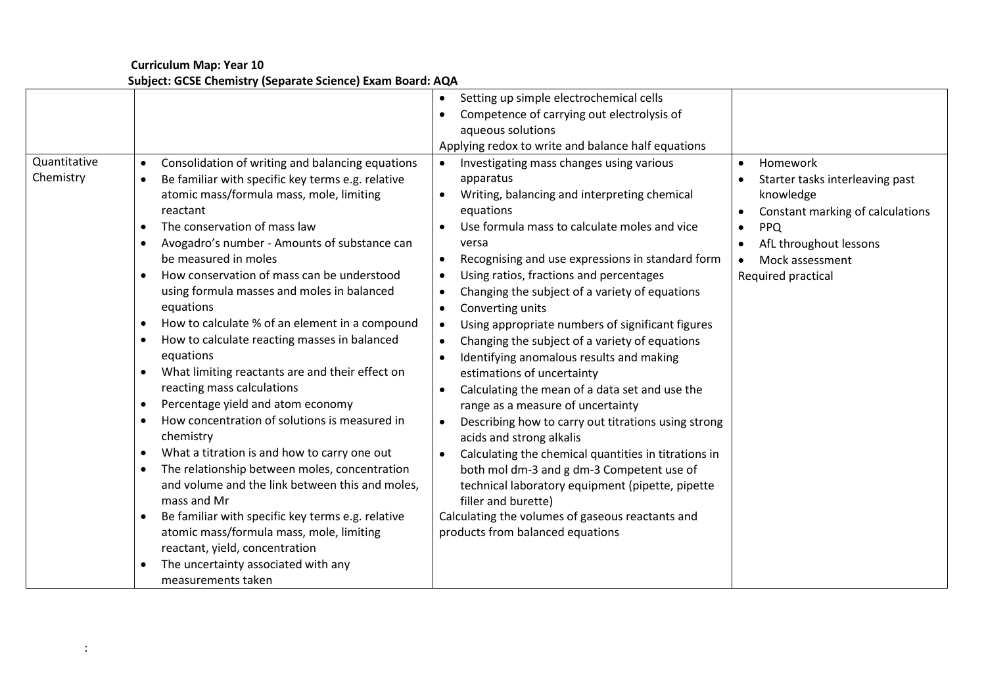**Curriculum Map: Year 10 Subject: GCSE Chemistry (Separate Science) Exam Board: AQA**

| Quantitative<br>Chemistry | Consolidation of writing and balancing equations<br>$\bullet$<br>Be familiar with specific key terms e.g. relative<br>atomic mass/formula mass, mole, limiting<br>reactant<br>The conservation of mass law<br>$\bullet$<br>Avogadro's number - Amounts of substance can<br>be measured in moles<br>How conservation of mass can be understood<br>$\bullet$<br>using formula masses and moles in balanced<br>equations<br>How to calculate % of an element in a compound<br>$\bullet$<br>How to calculate reacting masses in balanced<br>$\bullet$<br>equations<br>What limiting reactants are and their effect on<br>$\bullet$<br>reacting mass calculations<br>Percentage yield and atom economy<br>How concentration of solutions is measured in<br>$\bullet$<br>chemistry<br>What a titration is and how to carry one out<br>$\bullet$<br>The relationship between moles, concentration<br>$\bullet$<br>and volume and the link between this and moles,<br>mass and Mr<br>Be familiar with specific key terms e.g. relative<br>$\bullet$<br>atomic mass/formula mass, mole, limiting<br>reactant, yield, concentration<br>The uncertainty associated with any<br>$\bullet$<br>measurements taken | Setting up simple electrochemical cells<br>Competence of carrying out electrolysis of<br>aqueous solutions<br>Applying redox to write and balance half equations<br>Investigating mass changes using various<br>apparatus<br>Writing, balancing and interpreting chemical<br>equations<br>Use formula mass to calculate moles and vice<br>versa<br>Recognising and use expressions in standard form<br>$\bullet$<br>Using ratios, fractions and percentages<br>Changing the subject of a variety of equations<br>Converting units<br>Using appropriate numbers of significant figures<br>Changing the subject of a variety of equations<br>Identifying anomalous results and making<br>estimations of uncertainty<br>Calculating the mean of a data set and use the<br>range as a measure of uncertainty<br>Describing how to carry out titrations using strong<br>$\bullet$<br>acids and strong alkalis<br>Calculating the chemical quantities in titrations in<br>both mol dm-3 and g dm-3 Competent use of<br>technical laboratory equipment (pipette, pipette<br>filler and burette)<br>Calculating the volumes of gaseous reactants and<br>products from balanced equations | Homework<br>$\bullet$<br>Starter tasks interleaving past<br>knowledge<br>Constant marking of calculations<br><b>PPQ</b><br>$\bullet$<br>AfL throughout lessons<br>Mock assessment<br>Required practical |
|---------------------------|-----------------------------------------------------------------------------------------------------------------------------------------------------------------------------------------------------------------------------------------------------------------------------------------------------------------------------------------------------------------------------------------------------------------------------------------------------------------------------------------------------------------------------------------------------------------------------------------------------------------------------------------------------------------------------------------------------------------------------------------------------------------------------------------------------------------------------------------------------------------------------------------------------------------------------------------------------------------------------------------------------------------------------------------------------------------------------------------------------------------------------------------------------------------------------------------------------|----------------------------------------------------------------------------------------------------------------------------------------------------------------------------------------------------------------------------------------------------------------------------------------------------------------------------------------------------------------------------------------------------------------------------------------------------------------------------------------------------------------------------------------------------------------------------------------------------------------------------------------------------------------------------------------------------------------------------------------------------------------------------------------------------------------------------------------------------------------------------------------------------------------------------------------------------------------------------------------------------------------------------------------------------------------------------------------------------------------------------------------------------------------------------------|---------------------------------------------------------------------------------------------------------------------------------------------------------------------------------------------------------|
|---------------------------|-----------------------------------------------------------------------------------------------------------------------------------------------------------------------------------------------------------------------------------------------------------------------------------------------------------------------------------------------------------------------------------------------------------------------------------------------------------------------------------------------------------------------------------------------------------------------------------------------------------------------------------------------------------------------------------------------------------------------------------------------------------------------------------------------------------------------------------------------------------------------------------------------------------------------------------------------------------------------------------------------------------------------------------------------------------------------------------------------------------------------------------------------------------------------------------------------------|----------------------------------------------------------------------------------------------------------------------------------------------------------------------------------------------------------------------------------------------------------------------------------------------------------------------------------------------------------------------------------------------------------------------------------------------------------------------------------------------------------------------------------------------------------------------------------------------------------------------------------------------------------------------------------------------------------------------------------------------------------------------------------------------------------------------------------------------------------------------------------------------------------------------------------------------------------------------------------------------------------------------------------------------------------------------------------------------------------------------------------------------------------------------------------|---------------------------------------------------------------------------------------------------------------------------------------------------------------------------------------------------------|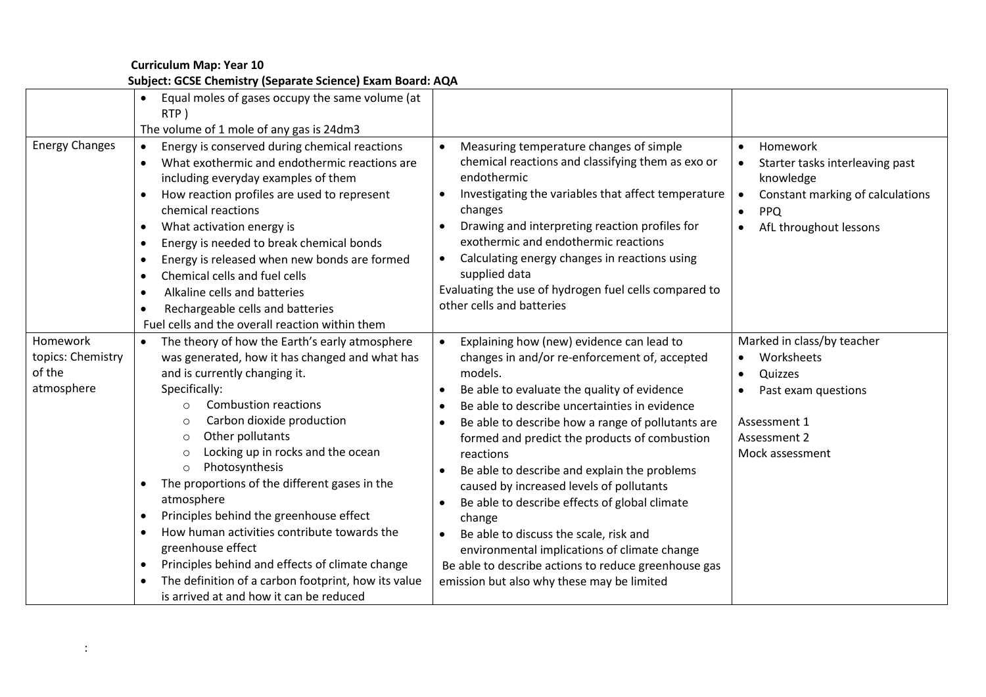**Curriculum Map: Year 10 Subject: GCSE Chemistry (Separate Science) Exam Board: AQA**

|                                                       | Equal moles of gases occupy the same volume (at<br>RTP)<br>The volume of 1 mole of any gas is 24dm3                                                                                                                                                                                                                                                                                                                                                                                                                                                                                                                                                                                                                         |                                                                                                                                                                                                                                                                                                                                                                                                                                                                                                                                                                                                                                                                                                                                                  |                                                                                                                                                                             |
|-------------------------------------------------------|-----------------------------------------------------------------------------------------------------------------------------------------------------------------------------------------------------------------------------------------------------------------------------------------------------------------------------------------------------------------------------------------------------------------------------------------------------------------------------------------------------------------------------------------------------------------------------------------------------------------------------------------------------------------------------------------------------------------------------|--------------------------------------------------------------------------------------------------------------------------------------------------------------------------------------------------------------------------------------------------------------------------------------------------------------------------------------------------------------------------------------------------------------------------------------------------------------------------------------------------------------------------------------------------------------------------------------------------------------------------------------------------------------------------------------------------------------------------------------------------|-----------------------------------------------------------------------------------------------------------------------------------------------------------------------------|
| <b>Energy Changes</b>                                 | Energy is conserved during chemical reactions<br>$\bullet$<br>What exothermic and endothermic reactions are<br>including everyday examples of them<br>How reaction profiles are used to represent<br>chemical reactions<br>What activation energy is<br>$\bullet$<br>Energy is needed to break chemical bonds<br>$\bullet$<br>Energy is released when new bonds are formed<br>$\bullet$<br>Chemical cells and fuel cells<br>$\bullet$<br>Alkaline cells and batteries<br>$\bullet$<br>Rechargeable cells and batteries<br>٠<br>Fuel cells and the overall reaction within them                                                                                                                                              | Measuring temperature changes of simple<br>chemical reactions and classifying them as exo or<br>endothermic<br>Investigating the variables that affect temperature<br>$\bullet$<br>changes<br>Drawing and interpreting reaction profiles for<br>exothermic and endothermic reactions<br>Calculating energy changes in reactions using<br>supplied data<br>Evaluating the use of hydrogen fuel cells compared to<br>other cells and batteries                                                                                                                                                                                                                                                                                                     | Homework<br>$\bullet$<br>Starter tasks interleaving past<br>knowledge<br>Constant marking of calculations<br>$\bullet$<br><b>PPQ</b><br>$\bullet$<br>AfL throughout lessons |
| Homework<br>topics: Chemistry<br>of the<br>atmosphere | The theory of how the Earth's early atmosphere<br>$\bullet$<br>was generated, how it has changed and what has<br>and is currently changing it.<br>Specifically:<br><b>Combustion reactions</b><br>$\circ$<br>Carbon dioxide production<br>$\circ$<br>Other pollutants<br>O<br>Locking up in rocks and the ocean<br>O<br>Photosynthesis<br>$\circ$<br>The proportions of the different gases in the<br>$\bullet$<br>atmosphere<br>Principles behind the greenhouse effect<br>How human activities contribute towards the<br>$\bullet$<br>greenhouse effect<br>Principles behind and effects of climate change<br>$\bullet$<br>The definition of a carbon footprint, how its value<br>is arrived at and how it can be reduced | Explaining how (new) evidence can lead to<br>changes in and/or re-enforcement of, accepted<br>models.<br>Be able to evaluate the quality of evidence<br>$\bullet$<br>Be able to describe uncertainties in evidence<br>$\bullet$<br>Be able to describe how a range of pollutants are<br>$\bullet$<br>formed and predict the products of combustion<br>reactions<br>Be able to describe and explain the problems<br>caused by increased levels of pollutants<br>Be able to describe effects of global climate<br>$\bullet$<br>change<br>Be able to discuss the scale, risk and<br>$\bullet$<br>environmental implications of climate change<br>Be able to describe actions to reduce greenhouse gas<br>emission but also why these may be limited | Marked in class/by teacher<br>Worksheets<br>Quizzes<br>Past exam questions<br>Assessment 1<br>Assessment 2<br>Mock assessment                                               |